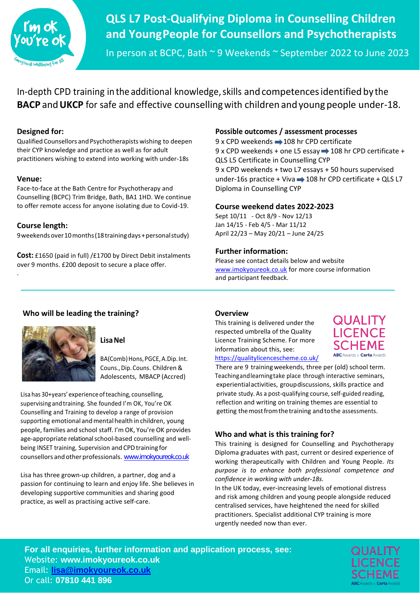

# **QLS L7 Post-Qualifying Diploma in Counselling Children and YoungPeople for Counsellors and Psychotherapists**

In person at BCPC, Bath ~ 9 Weekends ~ September 2022 to June 2023

In-depth CPD training in the additional knowledge, skills and competences identified by the **BACP** and**UKCP** for safe and effective counsellingwith children andyoung people under-18.

### **Designed for:**

Qualified Counsellors and Psychotherapists wishing to deepen their CYP knowledge and practice as well as for adult practitioners wishing to extend into working with under-18s

### **Venue:**

.

Face-to-face at the Bath Centre for Psychotherapy and Counselling (BCPC) Trim Bridge, Bath, BA1 1HD. We continue to offer remote access for anyone isolating due to Covid-19.

### **Course length:**

9weekendsover10months(18trainingdays+personalstudy)

**Cost:** £1650 (paid in full) /£1700 by Direct Debit instalments over 9 months. £200 deposit to secure a place offer.

### **Possible outcomes / assessment processes**

 $9$  x CPD weekends  $\rightarrow$  108 hr CPD certificate 9 x CPD weekends + one L5 essay 108 hr CPD certificate + QLS L5 Certificate in Counselling CYP 9 x CPD weekends + two L7 essays + 50 hours supervised under-16s practice + Viva $\rightarrow$  108 hr CPD certificate + QLS L7 Diploma in Counselling CYP

### **Course weekend dates 2022-2023**

Sept 10/11 - Oct 8/9 - Nov 12/13 Jan 14/15 - Feb 4/5 - Mar 11/12 April 22/23 – May 20/21 – June 24/25

### **Further information:**

Please see contact details below and website [www.imokyoureok.co.uk](http://www.imokyoureok.co.uk/) for more course information and participant feedback.

### **Who will be leading the training?**



### **LisaNel**

BA(Comb) Hons, PGCE, A.Dip. Int. Couns.,Dip.Couns. Children & Adolescents, MBACP (Accred)

Lisa has 30+ years' experience of teaching, counselling, supervising andtraining. She founded I'm OK, You're OK Counselling and Training to develop a range of provision supporting emotional and mental health in children, young people, families and school staff. I'm OK, You're OK provides age-appropriate relational school-based counselling and wellbeing INSET training, Supervision and CPD training for counsellors and other professionals. [www.imokyoureok.co.uk](http://www.imokyoureok.co.uk/)

Lisa has three grown-up children, a partner, dog and a passion for continuing to learn and enjoy life. She believes in developing supportive communities and sharing good practice, as well as practising active self-care.

### **Overview**

This training is delivered under the respected umbrella of the Quality Licence Training Scheme. For more information about this, see: <https://qualitylicencescheme.co.uk/>



There are 9 trainingweekends, three per (old) school term. Teachingandlearningtake place through interactive seminars, experientialactivities, groupdiscussions, skills practice and private study. As a post-qualifying course, self-guided reading, reflection and writing on training themes are essential to getting the most from the training and to the assessments.

### **Who and what is this training for?**

This training is designed for Counselling and Psychotherapy Diploma graduates with past, current or desired experience of working therapeutically with Children and Young People. *Its purpose is to enhance both professional competence and confidence in working with under-18s.*

In the UK today, ever-increasing levels of emotional distress and risk among children and young people alongside reduced centralised services, have heightened the need for skilled practitioners. Specialist additional CYP training is more urgently needed now than ever.